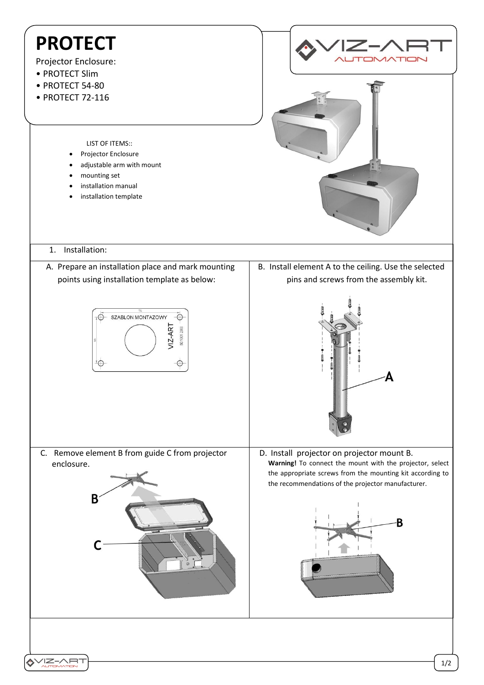